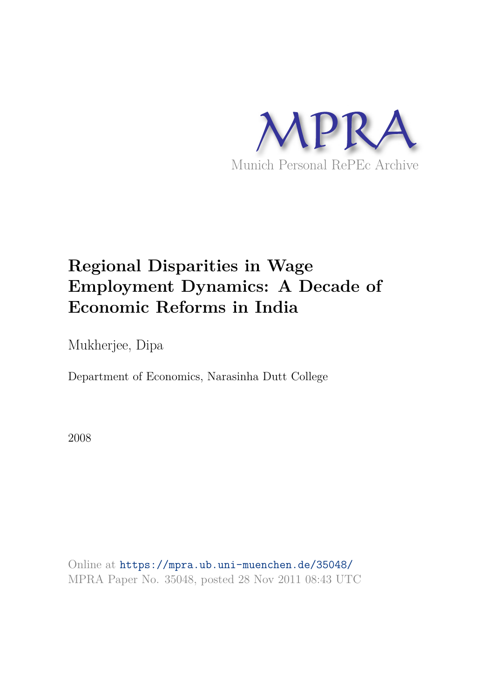

# **Regional Disparities in Wage Employment Dynamics: A Decade of Economic Reforms in India**

Mukherjee, Dipa

Department of Economics, Narasinha Dutt College

2008

Online at https://mpra.ub.uni-muenchen.de/35048/ MPRA Paper No. 35048, posted 28 Nov 2011 08:43 UTC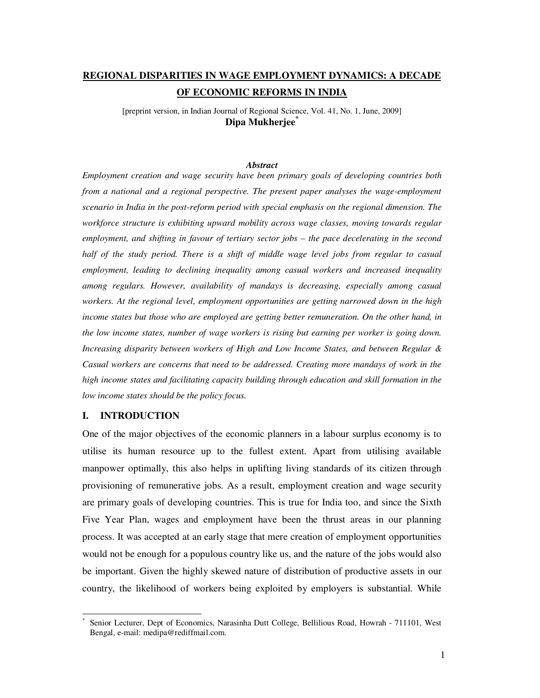## **REGIONAL DISPARITIES IN WAGE EMPLOYMENT DYNAMICS: A DECADE OF ECONOMIC REFORMS IN INDIA**

[preprint version, in Indian Journal of Regional Science, Vol. 41, No. 1, June, 2009] **Dipa Mukherjee\***

#### *Abstract*

*Employment creation and wage security have been primary goals of developing countries both from a national and a regional perspective. The present paper analyses the wage-employment scenario in India in the post-reform period with special emphasis on the regional dimension. The workforce structure is exhibiting upward mobility across wage classes, moving towards regular employment, and shifting in favour of tertiary sector jobs – the pace decelerating in the second half of the study period. There is a shift of middle wage level jobs from regular to casual employment, leading to declining inequality among casual workers and increased inequality among regulars. However, availability of mandays is decreasing, especially among casual workers. At the regional level, employment opportunities are getting narrowed down in the high income states but those who are employed are getting better remuneration. On the other hand, in the low income states, number of wage workers is rising but earning per worker is going down. Increasing disparity between workers of High and Low Income States, and between Regular & Casual workers are concerns that need to be addressed. Creating more mandays of work in the high income states and facilitating capacity building through education and skill formation in the low income states should be the policy focus.* 

## **I. INTRODUCTION**

 $\frac{1}{2}$ 

One of the major objectives of the economic planners in a labour surplus economy is to utilise its human resource up to the fullest extent. Apart from utilising available manpower optimally, this also helps in uplifting living standards of its citizen through provisioning of remunerative jobs. As a result, employment creation and wage security are primary goals of developing countries. This is true for India too, and since the Sixth Five Year Plan, wages and employment have been the thrust areas in our planning process. It was accepted at an early stage that mere creation of employment opportunities would not be enough for a populous country like us, and the nature of the jobs would also be important. Given the highly skewed nature of distribution of productive assets in our country, the likelihood of workers being exploited by employers is substantial. While

<sup>\*</sup> Senior Lecturer, Dept of Economics, Narasinha Dutt College, Bellilious Road, Howrah - 711101, West Bengal, e-mail: medipa@rediffmail.com.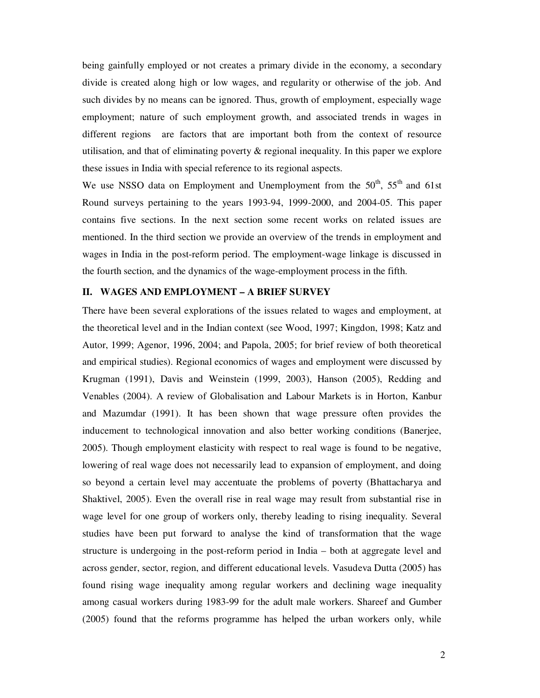being gainfully employed or not creates a primary divide in the economy, a secondary divide is created along high or low wages, and regularity or otherwise of the job. And such divides by no means can be ignored. Thus, growth of employment, especially wage employment; nature of such employment growth, and associated trends in wages in different regions are factors that are important both from the context of resource utilisation, and that of eliminating poverty & regional inequality. In this paper we explore these issues in India with special reference to its regional aspects.

We use NSSO data on Employment and Unemployment from the  $50<sup>th</sup>$ ,  $55<sup>th</sup>$  and 61st Round surveys pertaining to the years 1993-94, 1999-2000, and 2004-05. This paper contains five sections. In the next section some recent works on related issues are mentioned. In the third section we provide an overview of the trends in employment and wages in India in the post-reform period. The employment-wage linkage is discussed in the fourth section, and the dynamics of the wage-employment process in the fifth.

## **II. WAGES AND EMPLOYMENT – A BRIEF SURVEY**

There have been several explorations of the issues related to wages and employment, at the theoretical level and in the Indian context (see Wood, 1997; Kingdon, 1998; Katz and Autor, 1999; Agenor, 1996, 2004; and Papola, 2005; for brief review of both theoretical and empirical studies). Regional economics of wages and employment were discussed by Krugman (1991), Davis and Weinstein (1999, 2003), Hanson (2005), Redding and Venables (2004). A review of Globalisation and Labour Markets is in Horton, Kanbur and Mazumdar (1991). It has been shown that wage pressure often provides the inducement to technological innovation and also better working conditions (Banerjee, 2005). Though employment elasticity with respect to real wage is found to be negative, lowering of real wage does not necessarily lead to expansion of employment, and doing so beyond a certain level may accentuate the problems of poverty (Bhattacharya and Shaktivel, 2005). Even the overall rise in real wage may result from substantial rise in wage level for one group of workers only, thereby leading to rising inequality. Several studies have been put forward to analyse the kind of transformation that the wage structure is undergoing in the post-reform period in India – both at aggregate level and across gender, sector, region, and different educational levels. Vasudeva Dutta (2005) has found rising wage inequality among regular workers and declining wage inequality among casual workers during 1983-99 for the adult male workers. Shareef and Gumber (2005) found that the reforms programme has helped the urban workers only, while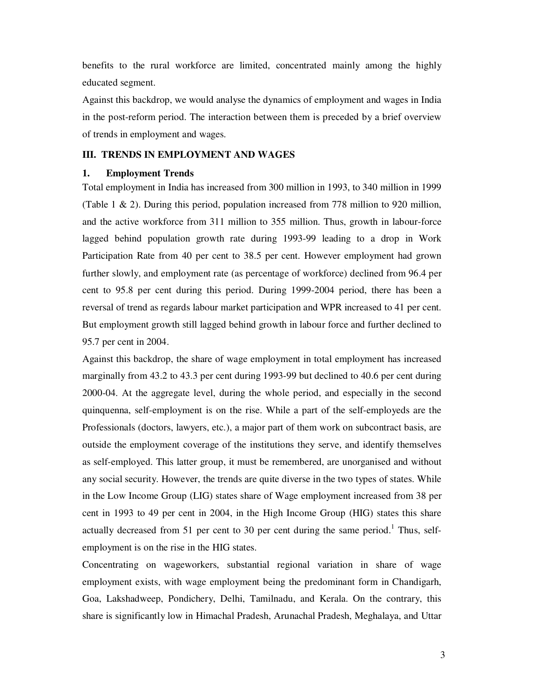benefits to the rural workforce are limited, concentrated mainly among the highly educated segment.

Against this backdrop, we would analyse the dynamics of employment and wages in India in the post-reform period. The interaction between them is preceded by a brief overview of trends in employment and wages.

## **III. TRENDS IN EMPLOYMENT AND WAGES**

## **1. Employment Trends**

Total employment in India has increased from 300 million in 1993, to 340 million in 1999 (Table 1 & 2). During this period, population increased from 778 million to 920 million, and the active workforce from 311 million to 355 million. Thus, growth in labour-force lagged behind population growth rate during 1993-99 leading to a drop in Work Participation Rate from 40 per cent to 38.5 per cent. However employment had grown further slowly, and employment rate (as percentage of workforce) declined from 96.4 per cent to 95.8 per cent during this period. During 1999-2004 period, there has been a reversal of trend as regards labour market participation and WPR increased to 41 per cent. But employment growth still lagged behind growth in labour force and further declined to 95.7 per cent in 2004.

Against this backdrop, the share of wage employment in total employment has increased marginally from 43.2 to 43.3 per cent during 1993-99 but declined to 40.6 per cent during 2000-04. At the aggregate level, during the whole period, and especially in the second quinquenna, self-employment is on the rise. While a part of the self-employeds are the Professionals (doctors, lawyers, etc.), a major part of them work on subcontract basis, are outside the employment coverage of the institutions they serve, and identify themselves as self-employed. This latter group, it must be remembered, are unorganised and without any social security. However, the trends are quite diverse in the two types of states. While in the Low Income Group (LIG) states share of Wage employment increased from 38 per cent in 1993 to 49 per cent in 2004, in the High Income Group (HIG) states this share actually decreased from 51 per cent to 30 per cent during the same period.<sup>1</sup> Thus, selfemployment is on the rise in the HIG states.

Concentrating on wageworkers, substantial regional variation in share of wage employment exists, with wage employment being the predominant form in Chandigarh, Goa, Lakshadweep, Pondichery, Delhi, Tamilnadu, and Kerala. On the contrary, this share is significantly low in Himachal Pradesh, Arunachal Pradesh, Meghalaya, and Uttar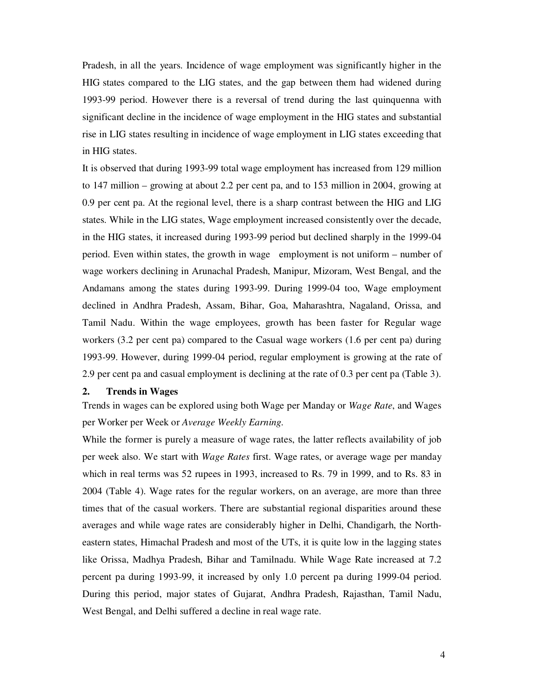Pradesh, in all the years. Incidence of wage employment was significantly higher in the HIG states compared to the LIG states, and the gap between them had widened during 1993-99 period. However there is a reversal of trend during the last quinquenna with significant decline in the incidence of wage employment in the HIG states and substantial rise in LIG states resulting in incidence of wage employment in LIG states exceeding that in HIG states.

It is observed that during 1993-99 total wage employment has increased from 129 million to 147 million – growing at about 2.2 per cent pa, and to 153 million in 2004, growing at 0.9 per cent pa. At the regional level, there is a sharp contrast between the HIG and LIG states. While in the LIG states, Wage employment increased consistently over the decade, in the HIG states, it increased during 1993-99 period but declined sharply in the 1999-04 period. Even within states, the growth in wage employment is not uniform – number of wage workers declining in Arunachal Pradesh, Manipur, Mizoram, West Bengal, and the Andamans among the states during 1993-99. During 1999-04 too, Wage employment declined in Andhra Pradesh, Assam, Bihar, Goa, Maharashtra, Nagaland, Orissa, and Tamil Nadu. Within the wage employees, growth has been faster for Regular wage workers (3.2 per cent pa) compared to the Casual wage workers (1.6 per cent pa) during 1993-99. However, during 1999-04 period, regular employment is growing at the rate of 2.9 per cent pa and casual employment is declining at the rate of 0.3 per cent pa (Table 3).

## **2. Trends in Wages**

Trends in wages can be explored using both Wage per Manday or *Wage Rate*, and Wages per Worker per Week or *Average Weekly Earning.*

While the former is purely a measure of wage rates, the latter reflects availability of job per week also. We start with *Wage Rates* first. Wage rates, or average wage per manday which in real terms was 52 rupees in 1993, increased to Rs. 79 in 1999, and to Rs. 83 in 2004 (Table 4). Wage rates for the regular workers, on an average, are more than three times that of the casual workers. There are substantial regional disparities around these averages and while wage rates are considerably higher in Delhi, Chandigarh, the Northeastern states, Himachal Pradesh and most of the UTs, it is quite low in the lagging states like Orissa, Madhya Pradesh, Bihar and Tamilnadu. While Wage Rate increased at 7.2 percent pa during 1993-99, it increased by only 1.0 percent pa during 1999-04 period. During this period, major states of Gujarat, Andhra Pradesh, Rajasthan, Tamil Nadu, West Bengal, and Delhi suffered a decline in real wage rate.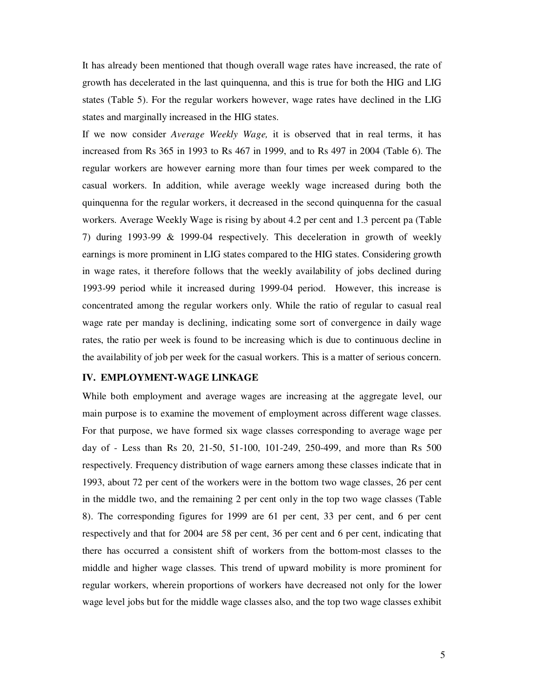It has already been mentioned that though overall wage rates have increased, the rate of growth has decelerated in the last quinquenna, and this is true for both the HIG and LIG states (Table 5). For the regular workers however, wage rates have declined in the LIG states and marginally increased in the HIG states.

If we now consider *Average Weekly Wage,* it is observed that in real terms, it has increased from Rs 365 in 1993 to Rs 467 in 1999, and to Rs 497 in 2004 (Table 6). The regular workers are however earning more than four times per week compared to the casual workers. In addition, while average weekly wage increased during both the quinquenna for the regular workers, it decreased in the second quinquenna for the casual workers. Average Weekly Wage is rising by about 4.2 per cent and 1.3 percent pa (Table 7) during 1993-99 & 1999-04 respectively. This deceleration in growth of weekly earnings is more prominent in LIG states compared to the HIG states. Considering growth in wage rates, it therefore follows that the weekly availability of jobs declined during 1993-99 period while it increased during 1999-04 period. However, this increase is concentrated among the regular workers only. While the ratio of regular to casual real wage rate per manday is declining, indicating some sort of convergence in daily wage rates, the ratio per week is found to be increasing which is due to continuous decline in the availability of job per week for the casual workers. This is a matter of serious concern.

## **IV. EMPLOYMENT-WAGE LINKAGE**

While both employment and average wages are increasing at the aggregate level, our main purpose is to examine the movement of employment across different wage classes. For that purpose, we have formed six wage classes corresponding to average wage per day of - Less than Rs 20, 21-50, 51-100, 101-249, 250-499, and more than Rs 500 respectively. Frequency distribution of wage earners among these classes indicate that in 1993, about 72 per cent of the workers were in the bottom two wage classes, 26 per cent in the middle two, and the remaining 2 per cent only in the top two wage classes (Table 8). The corresponding figures for 1999 are 61 per cent, 33 per cent, and 6 per cent respectively and that for 2004 are 58 per cent, 36 per cent and 6 per cent, indicating that there has occurred a consistent shift of workers from the bottom-most classes to the middle and higher wage classes. This trend of upward mobility is more prominent for regular workers, wherein proportions of workers have decreased not only for the lower wage level jobs but for the middle wage classes also, and the top two wage classes exhibit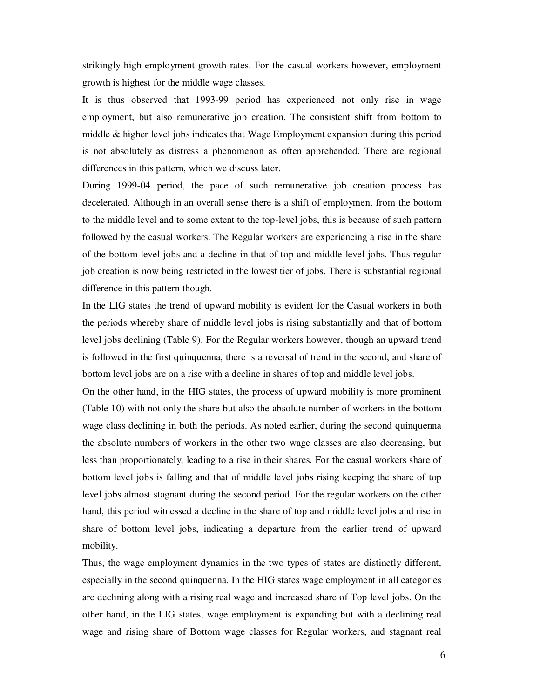strikingly high employment growth rates. For the casual workers however, employment growth is highest for the middle wage classes.

It is thus observed that 1993-99 period has experienced not only rise in wage employment, but also remunerative job creation. The consistent shift from bottom to middle & higher level jobs indicates that Wage Employment expansion during this period is not absolutely as distress a phenomenon as often apprehended. There are regional differences in this pattern, which we discuss later.

During 1999-04 period, the pace of such remunerative job creation process has decelerated. Although in an overall sense there is a shift of employment from the bottom to the middle level and to some extent to the top-level jobs, this is because of such pattern followed by the casual workers. The Regular workers are experiencing a rise in the share of the bottom level jobs and a decline in that of top and middle-level jobs. Thus regular job creation is now being restricted in the lowest tier of jobs. There is substantial regional difference in this pattern though.

In the LIG states the trend of upward mobility is evident for the Casual workers in both the periods whereby share of middle level jobs is rising substantially and that of bottom level jobs declining (Table 9). For the Regular workers however, though an upward trend is followed in the first quinquenna, there is a reversal of trend in the second, and share of bottom level jobs are on a rise with a decline in shares of top and middle level jobs.

On the other hand, in the HIG states, the process of upward mobility is more prominent (Table 10) with not only the share but also the absolute number of workers in the bottom wage class declining in both the periods. As noted earlier, during the second quinquenna the absolute numbers of workers in the other two wage classes are also decreasing, but less than proportionately, leading to a rise in their shares. For the casual workers share of bottom level jobs is falling and that of middle level jobs rising keeping the share of top level jobs almost stagnant during the second period. For the regular workers on the other hand, this period witnessed a decline in the share of top and middle level jobs and rise in share of bottom level jobs, indicating a departure from the earlier trend of upward mobility.

Thus, the wage employment dynamics in the two types of states are distinctly different, especially in the second quinquenna. In the HIG states wage employment in all categories are declining along with a rising real wage and increased share of Top level jobs. On the other hand, in the LIG states, wage employment is expanding but with a declining real wage and rising share of Bottom wage classes for Regular workers, and stagnant real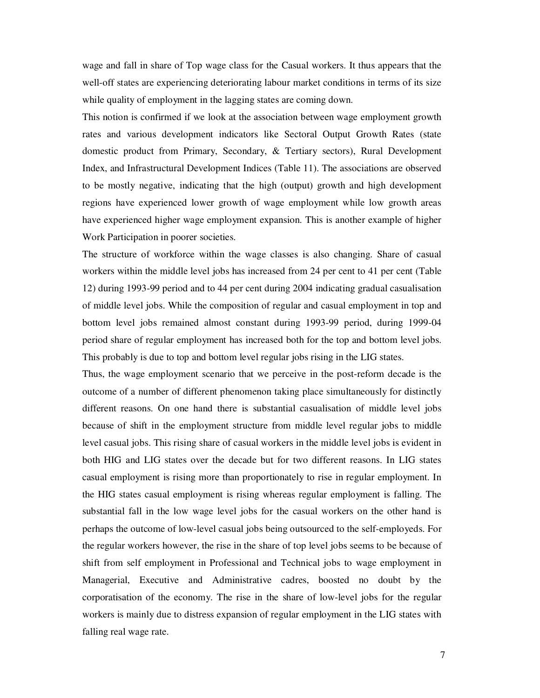wage and fall in share of Top wage class for the Casual workers. It thus appears that the well-off states are experiencing deteriorating labour market conditions in terms of its size while quality of employment in the lagging states are coming down.

This notion is confirmed if we look at the association between wage employment growth rates and various development indicators like Sectoral Output Growth Rates (state domestic product from Primary, Secondary, & Tertiary sectors), Rural Development Index, and Infrastructural Development Indices (Table 11). The associations are observed to be mostly negative, indicating that the high (output) growth and high development regions have experienced lower growth of wage employment while low growth areas have experienced higher wage employment expansion. This is another example of higher Work Participation in poorer societies.

The structure of workforce within the wage classes is also changing. Share of casual workers within the middle level jobs has increased from 24 per cent to 41 per cent (Table 12) during 1993-99 period and to 44 per cent during 2004 indicating gradual casualisation of middle level jobs. While the composition of regular and casual employment in top and bottom level jobs remained almost constant during 1993-99 period, during 1999-04 period share of regular employment has increased both for the top and bottom level jobs. This probably is due to top and bottom level regular jobs rising in the LIG states.

Thus, the wage employment scenario that we perceive in the post-reform decade is the outcome of a number of different phenomenon taking place simultaneously for distinctly different reasons. On one hand there is substantial casualisation of middle level jobs because of shift in the employment structure from middle level regular jobs to middle level casual jobs. This rising share of casual workers in the middle level jobs is evident in both HIG and LIG states over the decade but for two different reasons. In LIG states casual employment is rising more than proportionately to rise in regular employment. In the HIG states casual employment is rising whereas regular employment is falling. The substantial fall in the low wage level jobs for the casual workers on the other hand is perhaps the outcome of low-level casual jobs being outsourced to the self-employeds. For the regular workers however, the rise in the share of top level jobs seems to be because of shift from self employment in Professional and Technical jobs to wage employment in Managerial, Executive and Administrative cadres, boosted no doubt by the corporatisation of the economy. The rise in the share of low-level jobs for the regular workers is mainly due to distress expansion of regular employment in the LIG states with falling real wage rate.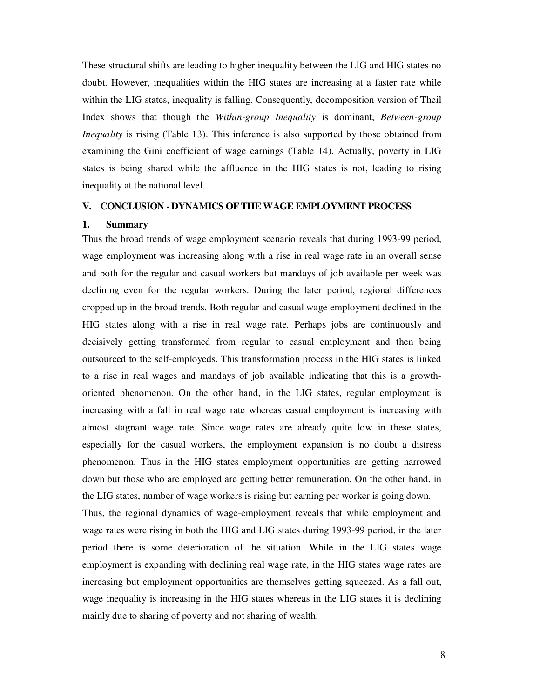These structural shifts are leading to higher inequality between the LIG and HIG states no doubt. However, inequalities within the HIG states are increasing at a faster rate while within the LIG states, inequality is falling. Consequently, decomposition version of Theil Index shows that though the *Within-group Inequality* is dominant, *Between-group Inequality* is rising (Table 13). This inference is also supported by those obtained from examining the Gini coefficient of wage earnings (Table 14). Actually, poverty in LIG states is being shared while the affluence in the HIG states is not, leading to rising inequality at the national level.

## **V. CONCLUSION - DYNAMICS OF THE WAGE EMPLOYMENT PROCESS**

### **1. Summary**

Thus the broad trends of wage employment scenario reveals that during 1993-99 period, wage employment was increasing along with a rise in real wage rate in an overall sense and both for the regular and casual workers but mandays of job available per week was declining even for the regular workers. During the later period, regional differences cropped up in the broad trends. Both regular and casual wage employment declined in the HIG states along with a rise in real wage rate. Perhaps jobs are continuously and decisively getting transformed from regular to casual employment and then being outsourced to the self-employeds. This transformation process in the HIG states is linked to a rise in real wages and mandays of job available indicating that this is a growthoriented phenomenon. On the other hand, in the LIG states, regular employment is increasing with a fall in real wage rate whereas casual employment is increasing with almost stagnant wage rate. Since wage rates are already quite low in these states, especially for the casual workers, the employment expansion is no doubt a distress phenomenon. Thus in the HIG states employment opportunities are getting narrowed down but those who are employed are getting better remuneration. On the other hand, in the LIG states, number of wage workers is rising but earning per worker is going down.

Thus, the regional dynamics of wage-employment reveals that while employment and wage rates were rising in both the HIG and LIG states during 1993-99 period, in the later period there is some deterioration of the situation. While in the LIG states wage employment is expanding with declining real wage rate, in the HIG states wage rates are increasing but employment opportunities are themselves getting squeezed. As a fall out, wage inequality is increasing in the HIG states whereas in the LIG states it is declining mainly due to sharing of poverty and not sharing of wealth.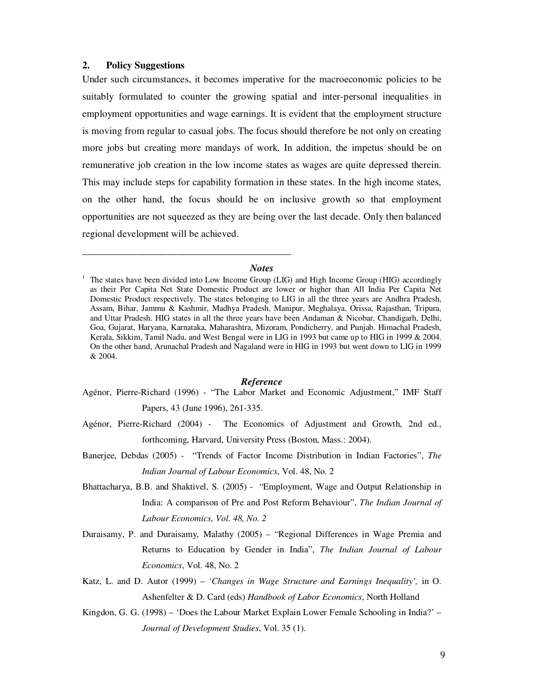## **2. Policy Suggestions**

Under such circumstances, it becomes imperative for the macroeconomic policies to be suitably formulated to counter the growing spatial and inter-personal inequalities in employment opportunities and wage earnings. It is evident that the employment structure is moving from regular to casual jobs. The focus should therefore be not only on creating more jobs but creating more mandays of work. In addition, the impetus should be on remunerative job creation in the low income states as wages are quite depressed therein. This may include steps for capability formation in these states. In the high income states, on the other hand, the focus should be on inclusive growth so that employment opportunities are not squeezed as they are being over the last decade. Only then balanced regional development will be achieved.

## *Notes*

\_\_\_\_\_\_\_\_\_\_\_\_\_\_\_\_\_\_\_\_\_\_\_\_\_\_\_\_\_\_\_\_\_\_\_\_\_\_\_\_\_\_

### *Reference*

- Agénor, Pierre-Richard (1996) "The Labor Market and Economic Adjustment," IMF Staff Papers, 43 (June 1996), 261-335.
- Agénor, Pierre-Richard (2004) The Economics of Adjustment and Growth, 2nd ed., forthcoming, Harvard, University Press (Boston, Mass.: 2004).
- Banerjee, Debdas (2005) "Trends of Factor Income Distribution in Indian Factories", *The Indian Journal of Labour Economics*, Vol. 48, No. 2
- Bhattacharya, B.B. and Shaktivel, S. (2005) "Employment, Wage and Output Relationship in India: A comparison of Pre and Post Reform Behaviour", *The Indian Journal of Labour Economics, Vol. 48, No. 2*
- Duraisamy, P. and Duraisamy, Malathy (2005) "Regional Differences in Wage Premia and Returns to Education by Gender in India", *The Indian Journal of Labour Economics*, Vol. 48, No. 2
- Katz, L. and D. Autor (1999) *'Changes in Wage Structure and Earnings Inequality',* in O. Ashenfelter & D. Card (eds) *Handbook of Labor Economics*, North Holland
- Kingdon, G. G. (1998) 'Does the Labour Market Explain Lower Female Schooling in India?' *Journal of Development Studies*, Vol. 35 (1).

 $1$  The states have been divided into Low Income Group (LIG) and High Income Group (HIG) accordingly as their Per Capita Net State Domestic Product are lower or higher than All India Per Capita Net Domestic Product respectively. The states belonging to LIG in all the three years are Andhra Pradesh, Assam, Bihar, Jammu & Kashmir, Madhya Pradesh, Manipur, Meghalaya, Orissa, Rajasthan, Tripura, and Uttar Pradesh. HIG states in all the three years have been Andaman & Nicobar, Chandigarh, Delhi, Goa, Gujarat, Haryana, Karnataka, Maharashtra, Mizoram, Pondicherry, and Punjab. Himachal Pradesh, Kerala, Sikkim, Tamil Nadu, and West Bengal were in LIG in 1993 but came up to HIG in 1999 & 2004. On the other hand, Arunachal Pradesh and Nagaland were in HIG in 1993 but went down to LIG in 1999 & 2004.